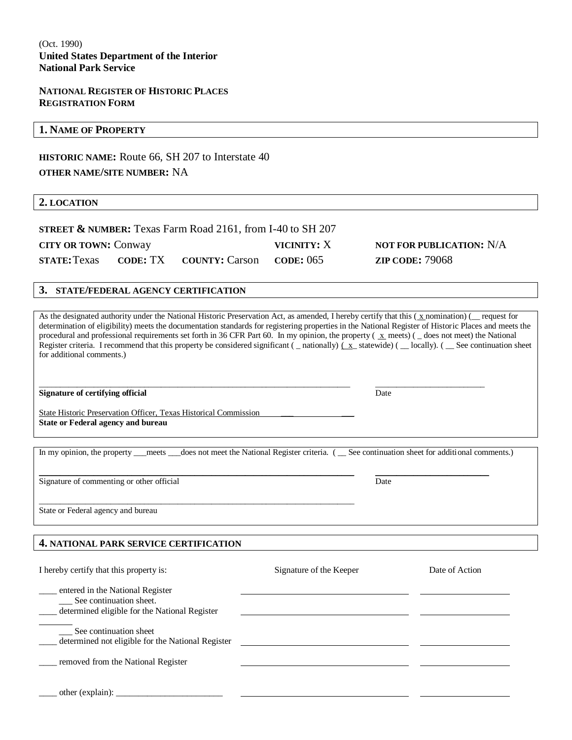### **NATIONAL REGISTER OF HISTORIC PLACES REGISTRATION FORM**

### **1. NAME OF PROPERTY**

**HISTORIC NAME:** Route 66, SH 207 to Interstate 40 **OTHER NAME/SITE NUMBER:** NA

### **2. LOCATION**

**STREET & NUMBER:** Texas Farm Road 2161, from I-40 to SH 207 **CITY OR TOWN:** Conway **VICINITY:** X **NOT FOR PUBLICATION:** N/A **STATE:**Texas **CODE:** TX **COUNTY:** Carson **CODE:** 065 **ZIP CODE:** 79068

\_\_\_\_\_\_\_\_\_\_\_\_\_\_\_\_\_\_\_\_\_\_\_\_\_\_\_\_\_\_\_\_\_\_\_\_\_\_\_\_\_\_\_\_\_\_\_\_\_\_\_\_\_\_\_\_\_\_\_\_\_\_\_\_\_\_\_\_\_\_\_\_\_\_\_

### **3. STATE/FEDERAL AGENCY CERTIFICATION**

As the designated authority under the National Historic Preservation Act, as amended, I hereby certify that this ( $x$  nomination) ( \_\_ request for determination of eligibility) meets the documentation standards for registering properties in the National Register of Historic Places and meets the procedural and professional requirements set forth in 36 CFR Part 60. In my opinion, the property ( x meets) ( \_ does not meet) the National Register criteria. I recommend that this property be considered significant ( \_ nationally)  $(x)$  statewide) ( \_ locally). ( \_ See continuation sheet for additional comments.)

### **Signature of certifying official** Date **Date** Date **Date** Date **Date** Date **Date**

State Historic Preservation Officer, Texas Historical Commission **State or Federal agency and bureau** 

In my opinion, the property \_\_\_meets \_\_\_does not meet the National Register criteria. ( \_\_ See continuation sheet for additional comments.)

 $\_$  , and the set of the set of the set of the set of the set of the set of the set of the set of the set of the set of the set of the set of the set of the set of the set of the set of the set of the set of the set of th

\_\_\_\_\_\_\_\_\_\_\_\_\_\_\_\_\_\_\_\_\_\_\_\_\_\_\_\_\_\_\_\_\_\_\_\_\_\_\_\_\_\_\_\_\_\_\_\_\_\_\_\_\_\_\_\_\_\_\_\_\_\_\_\_\_\_\_\_\_\_\_\_\_\_ \_\_\_\_\_\_\_\_\_\_\_\_\_\_\_\_\_\_\_\_\_\_\_\_\_\_

Signature of commenting or other official Date

State or Federal agency and bureau

### **4. NATIONAL PARK SERVICE CERTIFICATION**

| I hereby certify that this property is:                                                                         | Signature of the Keeper | Date of Action |
|-----------------------------------------------------------------------------------------------------------------|-------------------------|----------------|
| entered in the National Register<br>__ See continuation sheet.<br>determined eligible for the National Register |                         |                |
| See continuation sheet<br>determined not eligible for the National Register                                     |                         |                |
| removed from the National Register                                                                              |                         |                |
| other (explain): $\Box$                                                                                         |                         |                |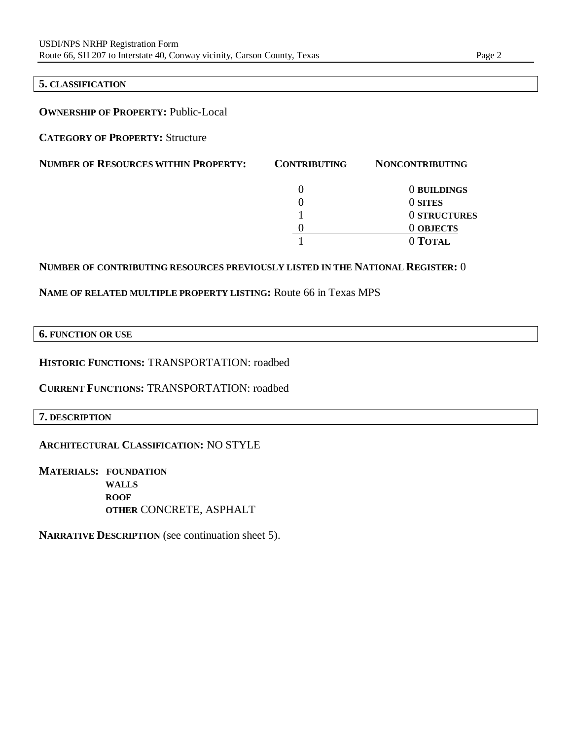### **5. CLASSIFICATION**

### **OWNERSHIP OF PROPERTY:** Public-Local

**CATEGORY OF PROPERTY:** Structure

| <b>NUMBER OF RESOURCES WITHIN PROPERTY:</b> | <b>CONTRIBUTING</b> | <b>NONCONTRIBUTING</b> |
|---------------------------------------------|---------------------|------------------------|
|                                             |                     | 0 BUILDINGS            |
|                                             |                     | 0 SITES                |
|                                             |                     | 0 STRUCTURES           |
|                                             |                     | <b>O OBJECTS</b>       |
|                                             |                     | 0 TOTAL                |

### **NUMBER OF CONTRIBUTING RESOURCES PREVIOUSLY LISTED IN THE NATIONAL REGISTER:** 0

### **NAME OF RELATED MULTIPLE PROPERTY LISTING:** Route 66 in Texas MPS

### **6. FUNCTION OR USE**

**HISTORIC FUNCTIONS:** TRANSPORTATION: roadbed

**CURRENT FUNCTIONS:** TRANSPORTATION: roadbed

### **7. DESCRIPTION**

### **ARCHITECTURAL CLASSIFICATION:** NO STYLE

**MATERIALS: FOUNDATION WALLS ROOF OTHER** CONCRETE, ASPHALT

**NARRATIVE DESCRIPTION** (see continuation sheet 5).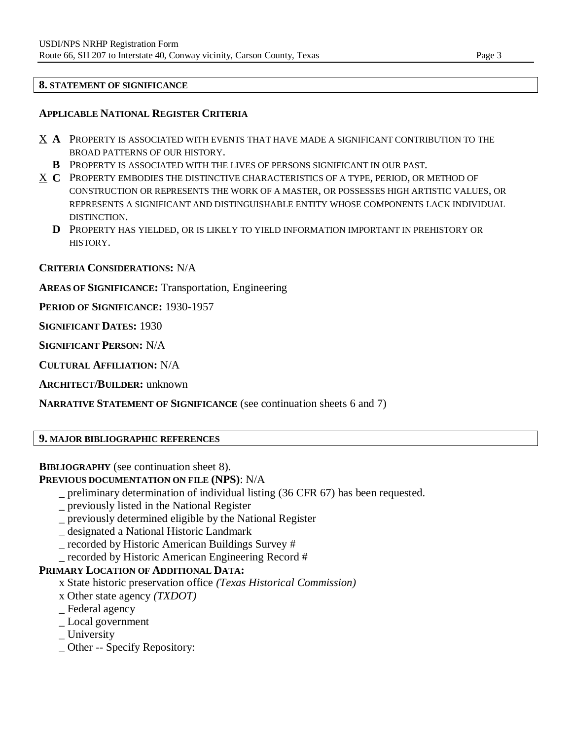### **8. STATEMENT OF SIGNIFICANCE**

### **APPLICABLE NATIONAL REGISTER CRITERIA**

- X **A** PROPERTY IS ASSOCIATED WITH EVENTS THAT HAVE MADE A SIGNIFICANT CONTRIBUTION TO THE BROAD PATTERNS OF OUR HISTORY.
	- **B** PROPERTY IS ASSOCIATED WITH THE LIVES OF PERSONS SIGNIFICANT IN OUR PAST.
- X **C** PROPERTY EMBODIES THE DISTINCTIVE CHARACTERISTICS OF A TYPE, PERIOD, OR METHOD OF CONSTRUCTION OR REPRESENTS THE WORK OF A MASTER, OR POSSESSES HIGH ARTISTIC VALUES, OR REPRESENTS A SIGNIFICANT AND DISTINGUISHABLE ENTITY WHOSE COMPONENTS LACK INDIVIDUAL DISTINCTION.
	- **D** PROPERTY HAS YIELDED, OR IS LIKELY TO YIELD INFORMATION IMPORTANT IN PREHISTORY OR HISTORY.

### **CRITERIA CONSIDERATIONS:** N/A

**AREAS OF SIGNIFICANCE:** Transportation, Engineering

**PERIOD OF SIGNIFICANCE:** 1930-1957

**SIGNIFICANT DATES:** 1930

**SIGNIFICANT PERSON:** N/A

**CULTURAL AFFILIATION:** N/A

**ARCHITECT/BUILDER:** unknown

**NARRATIVE STATEMENT OF SIGNIFICANCE** (see continuation sheets 6 and 7)

**9. MAJOR BIBLIOGRAPHIC REFERENCES**

**BIBLIOGRAPHY** (see continuation sheet 8).

**PREVIOUS DOCUMENTATION ON FILE (NPS)**: N/A

- \_ preliminary determination of individual listing (36 CFR 67) has been requested.
- \_ previously listed in the National Register
- \_ previously determined eligible by the National Register
- \_ designated a National Historic Landmark
- \_ recorded by Historic American Buildings Survey #
- \_ recorded by Historic American Engineering Record #

### **PRIMARY LOCATION OF ADDITIONAL DATA:**

- x State historic preservation office *(Texas Historical Commission)*
- x Other state agency *(TXDOT)*
- \_ Federal agency
- \_ Local government
- \_ University
- \_ Other -- Specify Repository: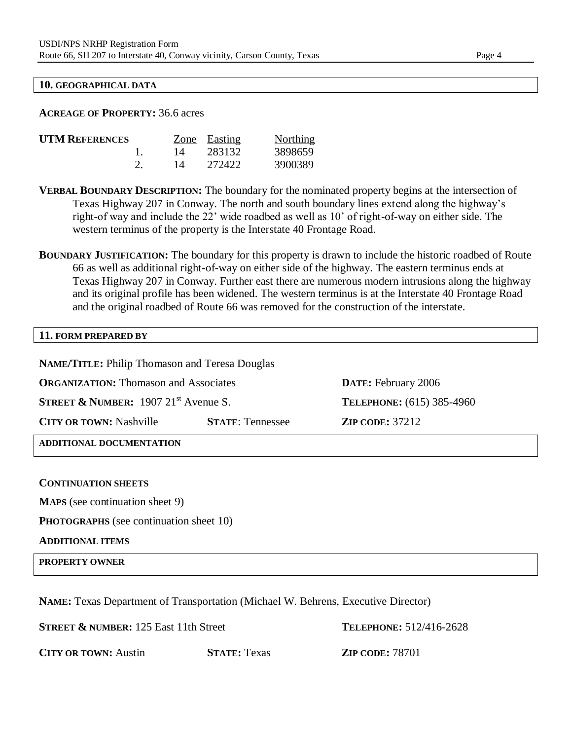### **10. GEOGRAPHICAL DATA**

### **ACREAGE OF PROPERTY:** 36.6 acres

| <b>UTM REFERENCES</b> |    | Zone Easting | Northing |
|-----------------------|----|--------------|----------|
|                       | 14 | 283132       | 3898659  |
|                       | 14 | 272422       | 3900389  |

**VERBAL BOUNDARY DESCRIPTION:** The boundary for the nominated property begins at the intersection of Texas Highway 207 in Conway. The north and south boundary lines extend along the highway's right-of way and include the 22' wide roadbed as well as 10' of right-of-way on either side. The western terminus of the property is the Interstate 40 Frontage Road.

**BOUNDARY JUSTIFICATION:** The boundary for this property is drawn to include the historic roadbed of Route 66 as well as additional right-of-way on either side of the highway. The eastern terminus ends at Texas Highway 207 in Conway. Further east there are numerous modern intrusions along the highway and its original profile has been widened. The western terminus is at the Interstate 40 Frontage Road and the original roadbed of Route 66 was removed for the construction of the interstate.

## **11. FORM PREPARED BY**

**NAME/TITLE:** Philip Thomason and Teresa Douglas **ORGANIZATION:** Thomason and Associates **DATE:** February 2006 **STREET & NUMBER:** 1907 21<sup>st</sup> Avenue S. **TELEPHONE:** (615) 385-4960 **CITY OR TOWN:** Nashville **STATE**: Tennessee **ZIP CODE:** 37212 **ADDITIONAL DOCUMENTATION**

### **CONTINUATION SHEETS**

**MAPS** (see continuation sheet 9)

**PHOTOGRAPHS** (see continuation sheet 10)

### **ADDITIONAL ITEMS**

**PROPERTY OWNER**

**NAME:** Texas Department of Transportation (Michael W. Behrens, Executive Director)

**STREET & NUMBER:** 125 East 11th Street **TELEPHONE:** 512/416-2628

**CITY OR TOWN:** Austin **STATE:** Texas **ZIP CODE:** 78701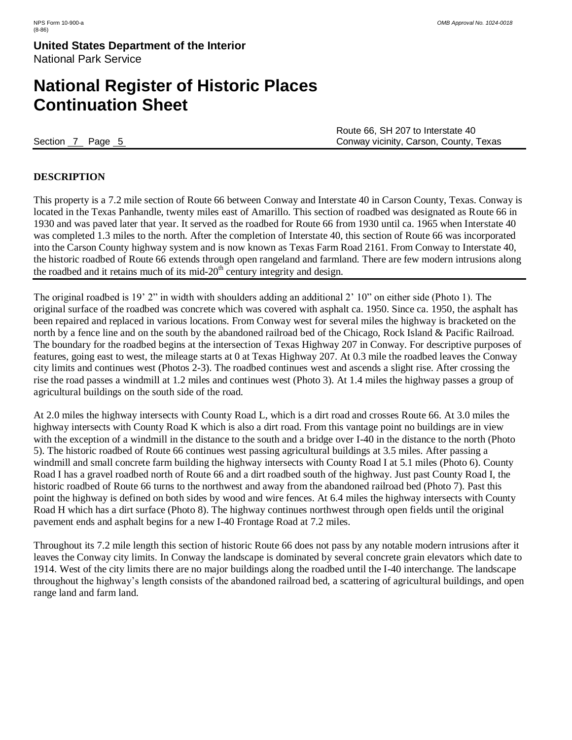# **National Register of Historic Places Continuation Sheet**

Route 66, SH 207 to Interstate 40 Section 7 Page 5 Conway vicinity, Carson, County, Texas

### **DESCRIPTION**

This property is a 7.2 mile section of Route 66 between Conway and Interstate 40 in Carson County, Texas. Conway is located in the Texas Panhandle, twenty miles east of Amarillo. This section of roadbed was designated as Route 66 in 1930 and was paved later that year. It served as the roadbed for Route 66 from 1930 until ca. 1965 when Interstate 40 was completed 1.3 miles to the north. After the completion of Interstate 40, this section of Route 66 was incorporated into the Carson County highway system and is now known as Texas Farm Road 2161. From Conway to Interstate 40, the historic roadbed of Route 66 extends through open rangeland and farmland. There are few modern intrusions along the roadbed and it retains much of its mid- $20<sup>th</sup>$  century integrity and design.

The original roadbed is 19' 2" in width with shoulders adding an additional 2' 10" on either side (Photo 1). The original surface of the roadbed was concrete which was covered with asphalt ca. 1950. Since ca. 1950, the asphalt has been repaired and replaced in various locations. From Conway west for several miles the highway is bracketed on the north by a fence line and on the south by the abandoned railroad bed of the Chicago, Rock Island & Pacific Railroad. The boundary for the roadbed begins at the intersection of Texas Highway 207 in Conway. For descriptive purposes of features, going east to west, the mileage starts at 0 at Texas Highway 207. At 0.3 mile the roadbed leaves the Conway city limits and continues west (Photos 2-3). The roadbed continues west and ascends a slight rise. After crossing the rise the road passes a windmill at 1.2 miles and continues west (Photo 3). At 1.4 miles the highway passes a group of agricultural buildings on the south side of the road.

At 2.0 miles the highway intersects with County Road L, which is a dirt road and crosses Route 66. At 3.0 miles the highway intersects with County Road K which is also a dirt road. From this vantage point no buildings are in view with the exception of a windmill in the distance to the south and a bridge over I-40 in the distance to the north (Photo 5). The historic roadbed of Route 66 continues west passing agricultural buildings at 3.5 miles. After passing a windmill and small concrete farm building the highway intersects with County Road I at 5.1 miles (Photo 6). County Road I has a gravel roadbed north of Route 66 and a dirt roadbed south of the highway. Just past County Road I, the historic roadbed of Route 66 turns to the northwest and away from the abandoned railroad bed (Photo 7). Past this point the highway is defined on both sides by wood and wire fences. At 6.4 miles the highway intersects with County Road H which has a dirt surface (Photo 8). The highway continues northwest through open fields until the original pavement ends and asphalt begins for a new I-40 Frontage Road at 7.2 miles.

Throughout its 7.2 mile length this section of historic Route 66 does not pass by any notable modern intrusions after it leaves the Conway city limits. In Conway the landscape is dominated by several concrete grain elevators which date to 1914. West of the city limits there are no major buildings along the roadbed until the I-40 interchange. The landscape throughout the highway's length consists of the abandoned railroad bed, a scattering of agricultural buildings, and open range land and farm land.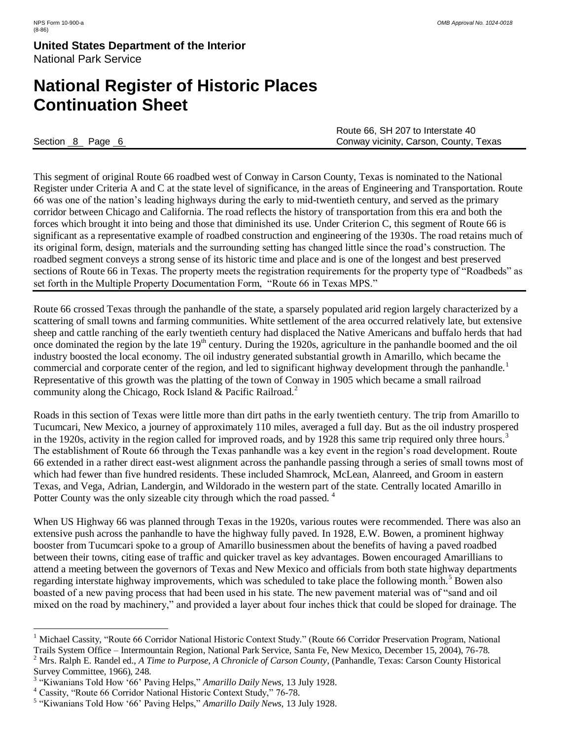# **National Register of Historic Places Continuation Sheet**

|                  | Route 66, SH 207 to Interstate 40      |
|------------------|----------------------------------------|
| Section 8 Page 6 | Conway vicinity, Carson, County, Texas |

This segment of original Route 66 roadbed west of Conway in Carson County, Texas is nominated to the National Register under Criteria A and C at the state level of significance, in the areas of Engineering and Transportation. Route 66 was one of the nation's leading highways during the early to mid-twentieth century, and served as the primary corridor between Chicago and California. The road reflects the history of transportation from this era and both the forces which brought it into being and those that diminished its use. Under Criterion C, this segment of Route 66 is significant as a representative example of roadbed construction and engineering of the 1930s. The road retains much of its original form, design, materials and the surrounding setting has changed little since the road's construction. The roadbed segment conveys a strong sense of its historic time and place and is one of the longest and best preserved sections of Route 66 in Texas. The property meets the registration requirements for the property type of "Roadbeds" as set forth in the Multiple Property Documentation Form, "Route 66 in Texas MPS."

Route 66 crossed Texas through the panhandle of the state, a sparsely populated arid region largely characterized by a scattering of small towns and farming communities. White settlement of the area occurred relatively late, but extensive sheep and cattle ranching of the early twentieth century had displaced the Native Americans and buffalo herds that had once dominated the region by the late  $19<sup>th</sup>$  century. During the 1920s, agriculture in the panhandle boomed and the oil industry boosted the local economy. The oil industry generated substantial growth in Amarillo, which became the commercial and corporate center of the region, and led to significant highway development through the panhandle.<sup>1</sup> Representative of this growth was the platting of the town of Conway in 1905 which became a small railroad community along the Chicago, Rock Island & Pacific Railroad.<sup>2</sup>

Roads in this section of Texas were little more than dirt paths in the early twentieth century. The trip from Amarillo to Tucumcari, New Mexico, a journey of approximately 110 miles, averaged a full day. But as the oil industry prospered in the 1920s, activity in the region called for improved roads, and by 1928 this same trip required only three hours.<sup>3</sup> The establishment of Route 66 through the Texas panhandle was a key event in the region's road development. Route 66 extended in a rather direct east-west alignment across the panhandle passing through a series of small towns most of which had fewer than five hundred residents. These included Shamrock, McLean, Alanreed, and Groom in eastern Texas, and Vega, Adrian, Landergin, and Wildorado in the western part of the state. Centrally located Amarillo in Potter County was the only sizeable city through which the road passed.<sup>4</sup>

When US Highway 66 was planned through Texas in the 1920s, various routes were recommended. There was also an extensive push across the panhandle to have the highway fully paved. In 1928, E.W. Bowen, a prominent highway booster from Tucumcari spoke to a group of Amarillo businessmen about the benefits of having a paved roadbed between their towns, citing ease of traffic and quicker travel as key advantages. Bowen encouraged Amarillians to attend a meeting between the governors of Texas and New Mexico and officials from both state highway departments regarding interstate highway improvements, which was scheduled to take place the following month.<sup>5</sup> Bowen also boasted of a new paving process that had been used in his state. The new pavement material was of "sand and oil mixed on the road by machinery," and provided a layer about four inches thick that could be sloped for drainage. The

 $\overline{a}$ 

<sup>&</sup>lt;sup>1</sup> Michael Cassity, "Route 66 Corridor National Historic Context Study." (Route 66 Corridor Preservation Program, National Trails System Office – Intermountain Region, National Park Service, Santa Fe, New Mexico, December 15, 2004), 76-78.

<sup>2</sup> Mrs. Ralph E. Randel ed., *A Time to Purpose, A Chronicle of Carson County*, (Panhandle, Texas: Carson County Historical Survey Committee, 1966), 248.

<sup>3</sup> "Kiwanians Told How '66' Paving Helps," *Amarillo Daily News*, 13 July 1928.

<sup>4</sup> Cassity, "Route 66 Corridor National Historic Context Study," 76-78.

<sup>5</sup> "Kiwanians Told How '66' Paving Helps," *Amarillo Daily News*, 13 July 1928.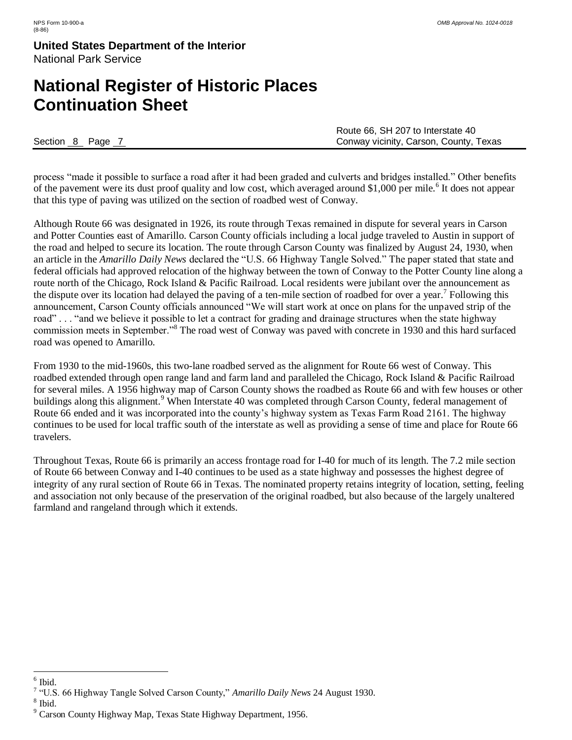# **National Register of Historic Places Continuation Sheet**

|                | Route 66, SH 207 to Interstate 40      |
|----------------|----------------------------------------|
| Section 8 Page | Conway vicinity, Carson, County, Texas |

process "made it possible to surface a road after it had been graded and culverts and bridges installed." Other benefits of the pavement were its dust proof quality and low cost, which averaged around \$1,000 per mile.<sup>6</sup> It does not appear that this type of paving was utilized on the section of roadbed west of Conway.

Although Route 66 was designated in 1926, its route through Texas remained in dispute for several years in Carson and Potter Counties east of Amarillo. Carson County officials including a local judge traveled to Austin in support of the road and helped to secure its location. The route through Carson County was finalized by August 24, 1930, when an article in the *Amarillo Daily News* declared the "U.S. 66 Highway Tangle Solved." The paper stated that state and federal officials had approved relocation of the highway between the town of Conway to the Potter County line along a route north of the Chicago, Rock Island & Pacific Railroad. Local residents were jubilant over the announcement as the dispute over its location had delayed the paving of a ten-mile section of roadbed for over a year.<sup>7</sup> Following this announcement, Carson County officials announced "We will start work at once on plans for the unpaved strip of the road" . . . "and we believe it possible to let a contract for grading and drainage structures when the state highway commission meets in September."<sup>8</sup> The road west of Conway was paved with concrete in 1930 and this hard surfaced road was opened to Amarillo.

From 1930 to the mid-1960s, this two-lane roadbed served as the alignment for Route 66 west of Conway. This roadbed extended through open range land and farm land and paralleled the Chicago, Rock Island & Pacific Railroad for several miles. A 1956 highway map of Carson County shows the roadbed as Route 66 and with few houses or other buildings along this alignment.<sup>9</sup> When Interstate 40 was completed through Carson County, federal management of Route 66 ended and it was incorporated into the county's highway system as Texas Farm Road 2161. The highway continues to be used for local traffic south of the interstate as well as providing a sense of time and place for Route 66 travelers.

Throughout Texas, Route 66 is primarily an access frontage road for I-40 for much of its length. The 7.2 mile section of Route 66 between Conway and I-40 continues to be used as a state highway and possesses the highest degree of integrity of any rural section of Route 66 in Texas. The nominated property retains integrity of location, setting, feeling and association not only because of the preservation of the original roadbed, but also because of the largely unaltered farmland and rangeland through which it extends.

8 Ibid.

 6 Ibid.

<sup>7</sup> "U.S. 66 Highway Tangle Solved Carson County," *Amarillo Daily News* 24 August 1930.

<sup>&</sup>lt;sup>9</sup> Carson County Highway Map, Texas State Highway Department, 1956.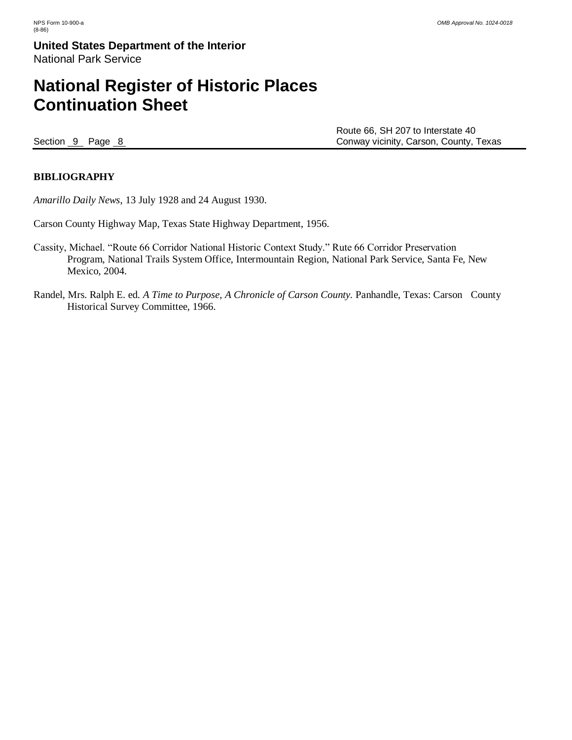# **National Register of Historic Places Continuation Sheet**

Route 66, SH 207 to Interstate 40 Section 9 Page 8 Conway vicinity, Carson, County, Texas

### **BIBLIOGRAPHY**

*Amarillo Daily News*, 13 July 1928 and 24 August 1930.

Carson County Highway Map, Texas State Highway Department, 1956.

- Cassity, Michael. "Route 66 Corridor National Historic Context Study." Rute 66 Corridor Preservation Program, National Trails System Office, Intermountain Region, National Park Service, Santa Fe, New Mexico, 2004.
- Randel, Mrs. Ralph E. ed. *A Time to Purpose, A Chronicle of Carson County.* Panhandle, Texas: Carson County Historical Survey Committee, 1966.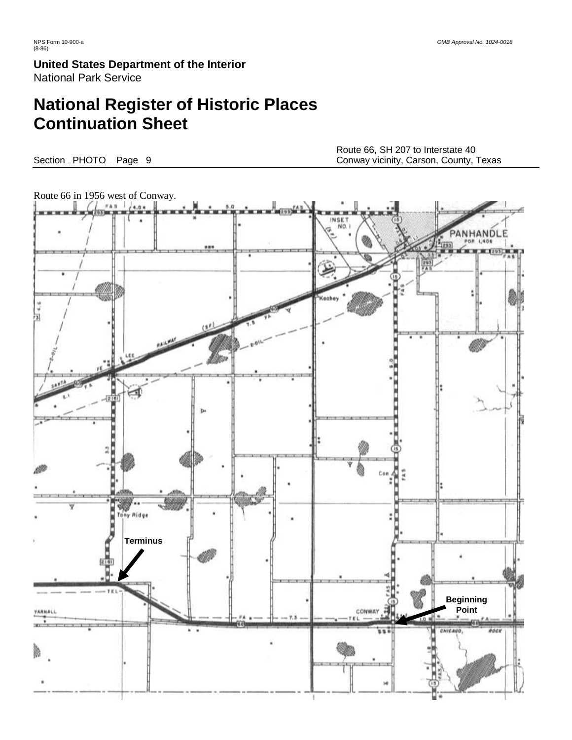# **National Register of Historic Places Continuation Sheet**

Route 66, SH 207 to Interstate 40 Section PHOTO Page 9 Conway vicinity, Carson, County, Texas